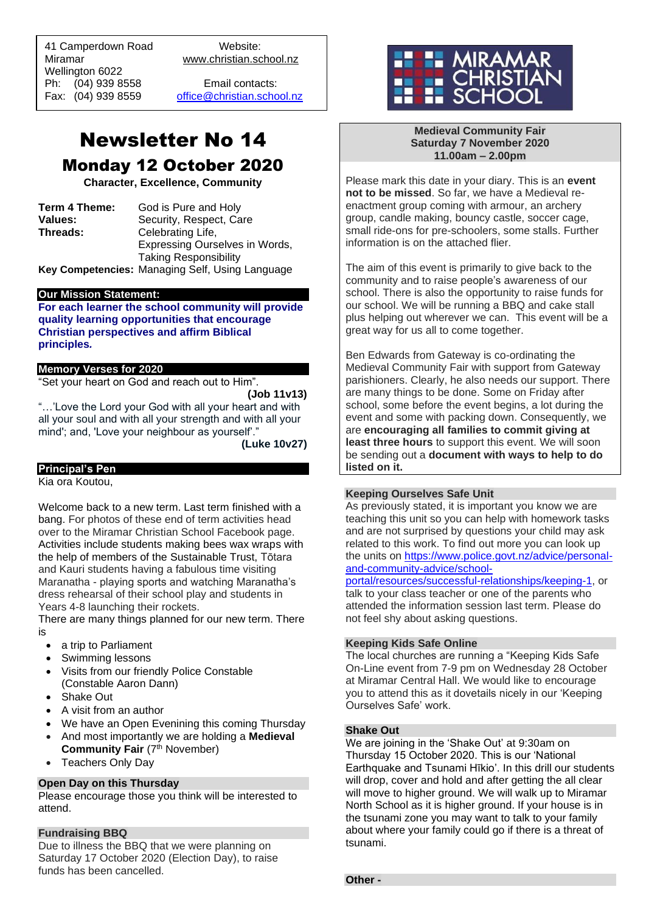41 Camperdown Road Website: Miramar www.christian.school.nz Wellington 6022 Ph: (04) 939 8558 Email contacts:

 $\overline{a}$ 

Fax: (04) 939 8559 [office@christian.school.nz](mailto:office@christian.school.nz)

# Newsletter No 14 Monday 12 October 2020

**Character, Excellence, Community**

**Term 4 Theme:** God is Pure and Holy<br>**Values:** Security. Respect. Ca **Values: Security, Respect, Care**<br> **Threads: Celebrating Life.** Celebrating Life, Expressing Ourselves in Words, Taking Responsibility

**Key Competencies:** Managing Self, Using Language

#### **Our Mission Statement:**

**For each learner the school community will provide quality learning opportunities that encourage Christian perspectives and affirm Biblical principles***.*

#### **Memory Verses for 2020**

"Set your heart on God and reach out to Him".

## **(Job 11v13)**

"…'Love the Lord your God with all your heart and with all your soul and with all your strength and with all your mind'; and, 'Love your neighbour as yourself'."

**(Luke 10v27)**

## **Principal's Pen**

Kia ora Koutou,

Welcome back to a new term. Last term finished with a bang. For photos of these end of term activities head over to the Miramar Christian School Facebook page. Activities include students making bees wax wraps with the help of members of the Sustainable Trust, Tōtara and Kauri students having a fabulous time visiting Maranatha - playing sports and watching Maranatha's dress rehearsal of their school play and students in Years 4-8 launching their rockets.

There are many things planned for our new term. There is

- a trip to Parliament
- Swimming lessons
- Visits from our friendly Police Constable (Constable Aaron Dann)
- Shake Out
- A visit from an author
- We have an Open Evenining this coming Thursday
- And most importantly we are holding a **Medieval Community Fair** (7<sup>th</sup> November)
- Teachers Only Day

## **Open Day on this Thursday**

Please encourage those you think will be interested to attend.

### **Fundraising BBQ**

Due to illness the BBQ that we were planning on Saturday 17 October 2020 (Election Day), to raise funds has been cancelled.



#### **Medieval Community Fair Saturday 7 November 2020 11.00am – 2.00pm**

Please mark this date in your diary. This is an **event not to be missed**. So far, we have a Medieval reenactment group coming with armour, an archery group, candle making, bouncy castle, soccer cage, small ride-ons for pre-schoolers, some stalls. Further information is on the attached flier.

The aim of this event is primarily to give back to the community and to raise people's awareness of our school. There is also the opportunity to raise funds for our school. We will be running a BBQ and cake stall plus helping out wherever we can. This event will be a great way for us all to come together.

Ben Edwards from Gateway is co-ordinating the Medieval Community Fair with support from Gateway parishioners. Clearly, he also needs our support. There are many things to be done. Some on Friday after school, some before the event begins, a lot during the event and some with packing down. Consequently, we are **encouraging all families to commit giving at least three hours** to support this event. We will soon be sending out a **document with ways to help to do listed on it.**

### **Keeping Ourselves Safe Unit**

As previously stated, it is important you know we are teaching this unit so you can help with homework tasks and are not surprised by questions your child may ask related to this work. To find out more you can look up the units on [https://www.police.govt.nz/advice/personal](https://www.police.govt.nz/advice/personal-and-community-advice/school-portal/resources/successful-relationships/keeping-1)[and-community-advice/school-](https://www.police.govt.nz/advice/personal-and-community-advice/school-portal/resources/successful-relationships/keeping-1)

[portal/resources/successful-relationships/keeping-1,](https://www.police.govt.nz/advice/personal-and-community-advice/school-portal/resources/successful-relationships/keeping-1) or talk to your class teacher or one of the parents who attended the information session last term. Please do not feel shy about asking questions.

### **Keeping Kids Safe Online**

The local churches are running a "Keeping Kids Safe On-Line event from 7-9 pm on Wednesday 28 October at Miramar Central Hall. We would like to encourage you to attend this as it dovetails nicely in our 'Keeping Ourselves Safe' work.

### **Shake Out**

We are joining in the 'Shake Out' at 9:30am on Thursday 15 October 2020. This is our 'National Earthquake and Tsunami Hīkio'. In this drill our students will drop, cover and hold and after getting the all clear will move to higher ground. We will walk up to Miramar North School as it is higher ground. If your house is in the tsunami zone you may want to talk to your family about where your family could go if there is a threat of tsunami.

#### **Other -**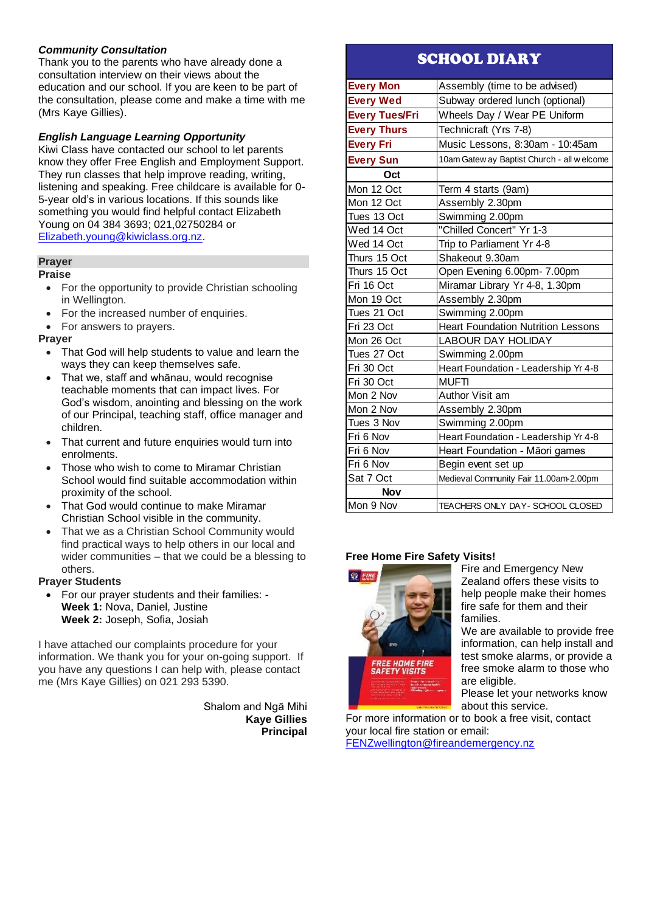## *Community Consultation*

Thank you to the parents who have already done a consultation interview on their views about the education and our school. If you are keen to be part of the consultation, please come and make a time with me (Mrs Kaye Gillies).

## *English Language Learning Opportunity*

Kiwi Class have contacted our school to let parents know they offer Free English and Employment Support. They run classes that help improve reading, writing, listening and speaking. Free childcare is available for 0- 5-year old's in various locations. If this sounds like something you would find helpful contact Elizabeth Young on 04 384 3693; 021,02750284 or [Elizabeth.young@kiwiclass.org.nz.](mailto:Elizabeth.young@kiwiclass.org.nz)

### **Prayer**

#### **Praise**

- For the opportunity to provide Christian schooling in Wellington.
- For the increased number of enquiries.
- For answers to prayers.

#### **Prayer**

- That God will help students to value and learn the ways they can keep themselves safe.
- That we, staff and whānau, would recognise teachable moments that can impact lives. For God's wisdom, anointing and blessing on the work of our Principal, teaching staff, office manager and children.
- That current and future enquiries would turn into enrolments.
- Those who wish to come to Miramar Christian School would find suitable accommodation within proximity of the school.
- That God would continue to make Miramar Christian School visible in the community.
- That we as a Christian School Community would find practical ways to help others in our local and wider communities – that we could be a blessing to others.

### **Prayer Students**

• For our prayer students and their families: - **Week 1:** Nova, Daniel, Justine **Week 2:** Joseph, Sofia, Josiah

I have attached our complaints procedure for your information. We thank you for your on-going support. If you have any questions I can help with, please contact me (Mrs Kaye Gillies) on 021 293 5390.

> Shalom and Ngā Mihi **Kaye Gillies Principal**

## SCHOOL DIARY

| <b>Every Mon</b>      | Assembly (time to be advised)               |
|-----------------------|---------------------------------------------|
| <b>Every Wed</b>      | Subway ordered lunch (optional)             |
| <b>Every Tues/Fri</b> | Wheels Day / Wear PE Uniform                |
| <b>Every Thurs</b>    | Technicraft (Yrs 7-8)                       |
| <b>Every Fri</b>      | Music Lessons, 8:30am - 10:45am             |
| <b>Every Sun</b>      | 10am Gatew ay Baptist Church - all w elcome |
| Oct                   |                                             |
| Mon 12 Oct            | Term 4 starts (9am)                         |
| Mon 12 Oct            | Assembly 2.30pm                             |
| Tues 13 Oct           | Swimming 2.00pm                             |
| Wed 14 Oct            | "Chilled Concert" Yr 1-3                    |
| Wed 14 Oct            | Trip to Parliament Yr 4-8                   |
| Thurs 15 Oct          | Shakeout 9.30am                             |
| Thurs 15 Oct          | Open Evening 6.00pm- 7.00pm                 |
| Fri 16 Oct            | Miramar Library Yr 4-8, 1.30pm              |
| Mon 19 Oct            | Assembly 2.30pm                             |
| Tues 21 Oct           | Swimming 2.00pm                             |
| Fri 23 Oct            | <b>Heart Foundation Nutrition Lessons</b>   |
| Mon 26 Oct            | <b>LABOUR DAY HOLIDAY</b>                   |
| Tues 27 Oct           | Swimming 2.00pm                             |
| Fri 30 Oct            | Heart Foundation - Leadership Yr 4-8        |
| Fri 30 Oct            | <b>MUFTI</b>                                |
| Mon 2 Nov             | Author Visit am                             |
| Mon 2 Nov             | Assembly 2.30pm                             |
| Tues 3 Nov            | Swimming 2.00pm                             |
| Fri 6 Nov             | Heart Foundation - Leadership Yr 4-8        |
| Fri 6 Nov             | Heart Foundation - Māori games              |
| Fri 6 Nov             | Begin event set up                          |
| Sat 7 Oct             | Medieval Community Fair 11.00am-2.00pm      |
| Nov                   |                                             |
| Mon 9 Nov             | TEACHERS ONLY DAY- SCHOOL CLOSED            |

### **Free Home Fire Safety Visits!**



Fire and Emergency New Zealand offers these visits to help people make their homes fire safe for them and their families.

We are available to provide free information, can help install and test smoke alarms, or provide a free smoke alarm to those who are eligible.

Please let your networks know about this service.

For more information or to book a free visit, contact your local fire station or email: [FENZwellington@fireandemergency.nz](mailto:FENZwellington@fireandemergency.nz)